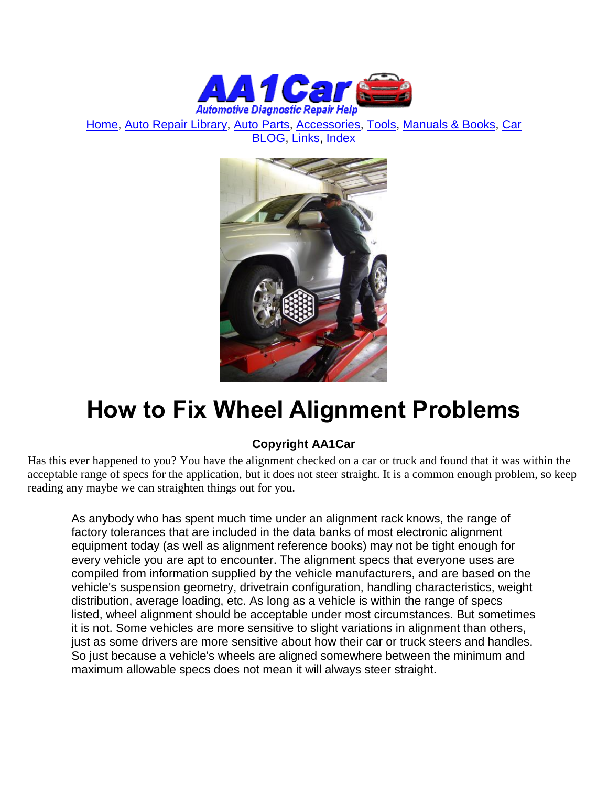

[Home,](http://www.aa1car.com/) [Auto Repair Library,](http://www.aa1car.com/library.htm) [Auto Parts,](http://www.aa1car.com/links_parts.htm) [Accessories,](http://www.aa1car.com/links_accessories.htm) [Tools,](http://www.aa1car.com/links_tools.htm) [Manuals & Books,](http://www.aa1car.com/links_books.htm) [Car](http://www.aa1car.com/blog/blog.htm)  [BLOG,](http://www.aa1car.com/blog/blog.htm) [Links,](http://www.aa1car.com/links.htm) [Index](http://www.aa1car.com/index_alphabetical.htm)



# **How to Fix Wheel Alignment Problems**

#### **Copyright AA1Car**

Has this ever happened to you? You have the alignment checked on a car or truck and found that it was within the acceptable range of specs for the application, but it does not steer straight. It is a common enough problem, so keep reading any maybe we can straighten things out for you.

As anybody who has spent much time under an alignment rack knows, the range of factory tolerances that are included in the data banks of most electronic alignment equipment today (as well as alignment reference books) may not be tight enough for every vehicle you are apt to encounter. The alignment specs that everyone uses are compiled from information supplied by the vehicle manufacturers, and are based on the vehicle's suspension geometry, drivetrain configuration, handling characteristics, weight distribution, average loading, etc. As long as a vehicle is within the range of specs listed, wheel alignment should be acceptable under most circumstances. But sometimes it is not. Some vehicles are more sensitive to slight variations in alignment than others, just as some drivers are more sensitive about how their car or truck steers and handles. So just because a vehicle's wheels are aligned somewhere between the minimum and maximum allowable specs does not mean it will always steer straight.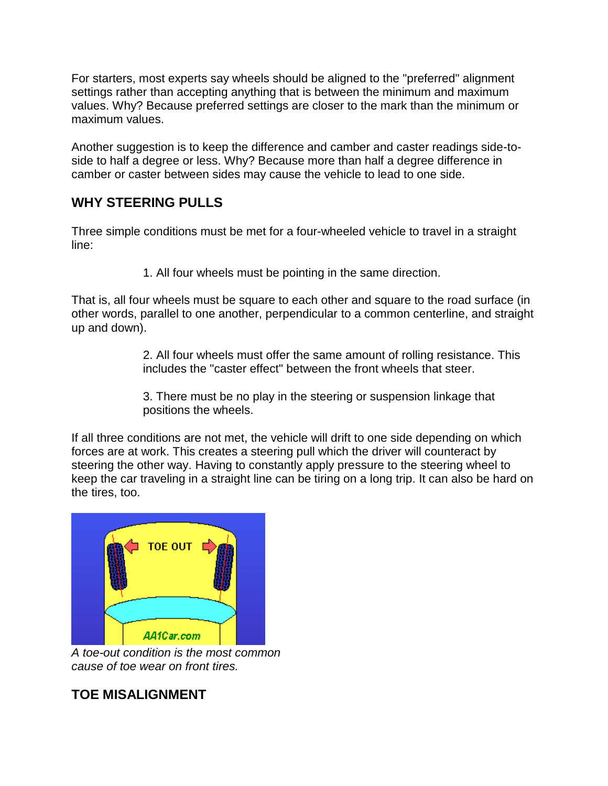For starters, most experts say wheels should be aligned to the "preferred" alignment settings rather than accepting anything that is between the minimum and maximum values. Why? Because preferred settings are closer to the mark than the minimum or maximum values.

Another suggestion is to keep the difference and camber and caster readings side-toside to half a degree or less. Why? Because more than half a degree difference in camber or caster between sides may cause the vehicle to lead to one side.

# **WHY STEERING PULLS**

Three simple conditions must be met for a four-wheeled vehicle to travel in a straight line:

1. All four wheels must be pointing in the same direction.

That is, all four wheels must be square to each other and square to the road surface (in other words, parallel to one another, perpendicular to a common centerline, and straight up and down).

> 2. All four wheels must offer the same amount of rolling resistance. This includes the "caster effect" between the front wheels that steer.

3. There must be no play in the steering or suspension linkage that positions the wheels.

If all three conditions are not met, the vehicle will drift to one side depending on which forces are at work. This creates a steering pull which the driver will counteract by steering the other way. Having to constantly apply pressure to the steering wheel to keep the car traveling in a straight line can be tiring on a long trip. It can also be hard on the tires, too.



*A toe-out condition is the most common cause of toe wear on front tires.*

# **TOE MISALIGNMENT**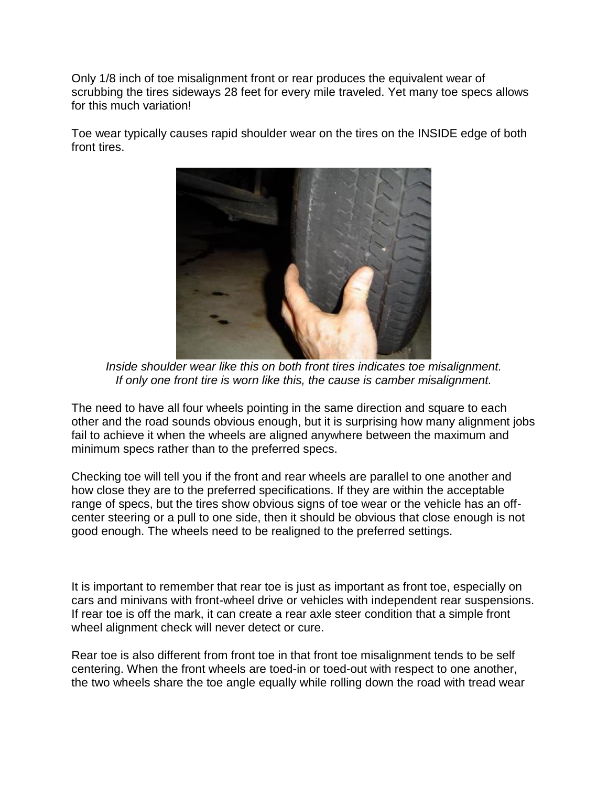Only 1/8 inch of toe misalignment front or rear produces the equivalent wear of scrubbing the tires sideways 28 feet for every mile traveled. Yet many toe specs allows for this much variation!

Toe wear typically causes rapid shoulder wear on the tires on the INSIDE edge of both front tires.



*Inside shoulder wear like this on both front tires indicates toe misalignment. If only one front tire is worn like this, the cause is camber misalignment.*

The need to have all four wheels pointing in the same direction and square to each other and the road sounds obvious enough, but it is surprising how many alignment jobs fail to achieve it when the wheels are aligned anywhere between the maximum and minimum specs rather than to the preferred specs.

Checking toe will tell you if the front and rear wheels are parallel to one another and how close they are to the preferred specifications. If they are within the acceptable range of specs, but the tires show obvious signs of toe wear or the vehicle has an offcenter steering or a pull to one side, then it should be obvious that close enough is not good enough. The wheels need to be realigned to the preferred settings.

It is important to remember that rear toe is just as important as front toe, especially on cars and minivans with front-wheel drive or vehicles with independent rear suspensions. If rear toe is off the mark, it can create a rear axle steer condition that a simple front wheel alignment check will never detect or cure.

Rear toe is also different from front toe in that front toe misalignment tends to be self centering. When the front wheels are toed-in or toed-out with respect to one another, the two wheels share the toe angle equally while rolling down the road with tread wear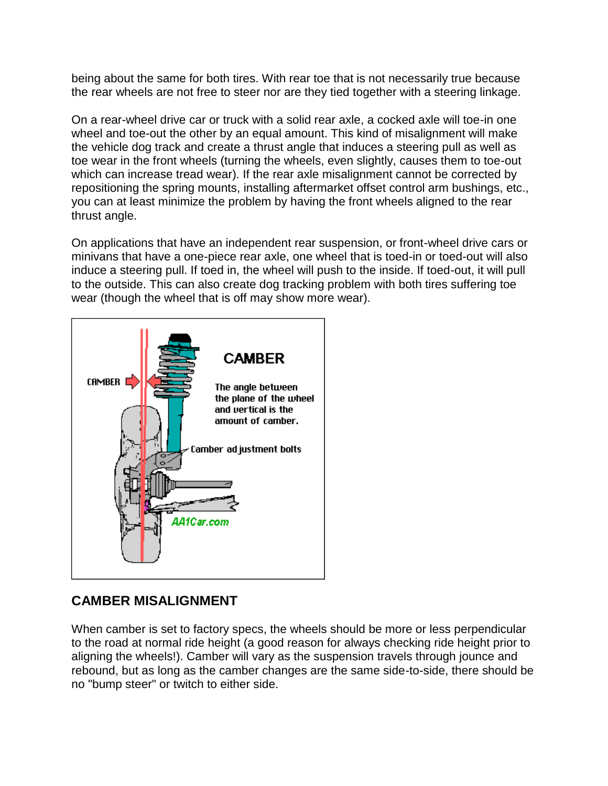being about the same for both tires. With rear toe that is not necessarily true because the rear wheels are not free to steer nor are they tied together with a steering linkage.

On a rear-wheel drive car or truck with a solid rear axle, a cocked axle will toe-in one wheel and toe-out the other by an equal amount. This kind of misalignment will make the vehicle dog track and create a thrust angle that induces a steering pull as well as toe wear in the front wheels (turning the wheels, even slightly, causes them to toe-out which can increase tread wear). If the rear axle misalignment cannot be corrected by repositioning the spring mounts, installing aftermarket offset control arm bushings, etc., you can at least minimize the problem by having the front wheels aligned to the rear thrust angle.

On applications that have an independent rear suspension, or front-wheel drive cars or minivans that have a one-piece rear axle, one wheel that is toed-in or toed-out will also induce a steering pull. If toed in, the wheel will push to the inside. If toed-out, it will pull to the outside. This can also create dog tracking problem with both tires suffering toe wear (though the wheel that is off may show more wear).



#### **CAMBER MISALIGNMENT**

When camber is set to factory specs, the wheels should be more or less perpendicular to the road at normal ride height (a good reason for always checking ride height prior to aligning the wheels!). Camber will vary as the suspension travels through jounce and rebound, but as long as the camber changes are the same side-to-side, there should be no "bump steer" or twitch to either side.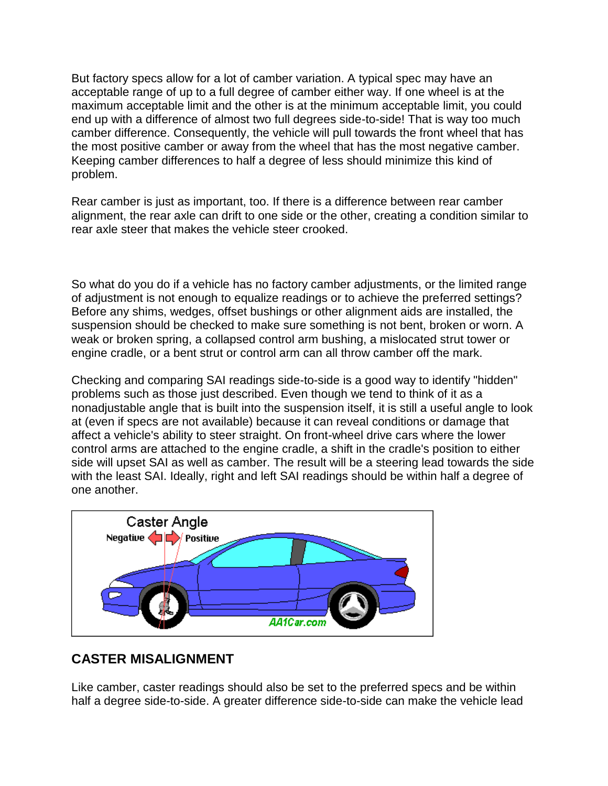But factory specs allow for a lot of camber variation. A typical spec may have an acceptable range of up to a full degree of camber either way. If one wheel is at the maximum acceptable limit and the other is at the minimum acceptable limit, you could end up with a difference of almost two full degrees side-to-side! That is way too much camber difference. Consequently, the vehicle will pull towards the front wheel that has the most positive camber or away from the wheel that has the most negative camber. Keeping camber differences to half a degree of less should minimize this kind of problem.

Rear camber is just as important, too. If there is a difference between rear camber alignment, the rear axle can drift to one side or the other, creating a condition similar to rear axle steer that makes the vehicle steer crooked.

So what do you do if a vehicle has no factory camber adjustments, or the limited range of adjustment is not enough to equalize readings or to achieve the preferred settings? Before any shims, wedges, offset bushings or other alignment aids are installed, the suspension should be checked to make sure something is not bent, broken or worn. A weak or broken spring, a collapsed control arm bushing, a mislocated strut tower or engine cradle, or a bent strut or control arm can all throw camber off the mark.

Checking and comparing SAI readings side-to-side is a good way to identify "hidden" problems such as those just described. Even though we tend to think of it as a nonadjustable angle that is built into the suspension itself, it is still a useful angle to look at (even if specs are not available) because it can reveal conditions or damage that affect a vehicle's ability to steer straight. On front-wheel drive cars where the lower control arms are attached to the engine cradle, a shift in the cradle's position to either side will upset SAI as well as camber. The result will be a steering lead towards the side with the least SAI. Ideally, right and left SAI readings should be within half a degree of one another.



### **CASTER MISALIGNMENT**

Like camber, caster readings should also be set to the preferred specs and be within half a degree side-to-side. A greater difference side-to-side can make the vehicle lead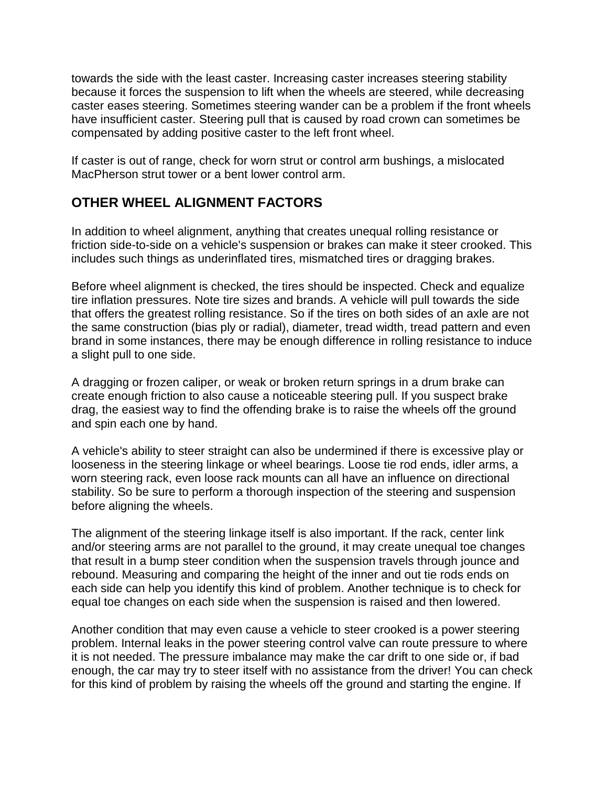towards the side with the least caster. Increasing caster increases steering stability because it forces the suspension to lift when the wheels are steered, while decreasing caster eases steering. Sometimes steering wander can be a problem if the front wheels have insufficient caster. Steering pull that is caused by road crown can sometimes be compensated by adding positive caster to the left front wheel.

If caster is out of range, check for worn strut or control arm bushings, a mislocated MacPherson strut tower or a bent lower control arm.

# **OTHER WHEEL ALIGNMENT FACTORS**

In addition to wheel alignment, anything that creates unequal rolling resistance or friction side-to-side on a vehicle's suspension or brakes can make it steer crooked. This includes such things as underinflated tires, mismatched tires or dragging brakes.

Before wheel alignment is checked, the tires should be inspected. Check and equalize tire inflation pressures. Note tire sizes and brands. A vehicle will pull towards the side that offers the greatest rolling resistance. So if the tires on both sides of an axle are not the same construction (bias ply or radial), diameter, tread width, tread pattern and even brand in some instances, there may be enough difference in rolling resistance to induce a slight pull to one side.

A dragging or frozen caliper, or weak or broken return springs in a drum brake can create enough friction to also cause a noticeable steering pull. If you suspect brake drag, the easiest way to find the offending brake is to raise the wheels off the ground and spin each one by hand.

A vehicle's ability to steer straight can also be undermined if there is excessive play or looseness in the steering linkage or wheel bearings. Loose tie rod ends, idler arms, a worn steering rack, even loose rack mounts can all have an influence on directional stability. So be sure to perform a thorough inspection of the steering and suspension before aligning the wheels.

The alignment of the steering linkage itself is also important. If the rack, center link and/or steering arms are not parallel to the ground, it may create unequal toe changes that result in a bump steer condition when the suspension travels through jounce and rebound. Measuring and comparing the height of the inner and out tie rods ends on each side can help you identify this kind of problem. Another technique is to check for equal toe changes on each side when the suspension is raised and then lowered.

Another condition that may even cause a vehicle to steer crooked is a power steering problem. Internal leaks in the power steering control valve can route pressure to where it is not needed. The pressure imbalance may make the car drift to one side or, if bad enough, the car may try to steer itself with no assistance from the driver! You can check for this kind of problem by raising the wheels off the ground and starting the engine. If